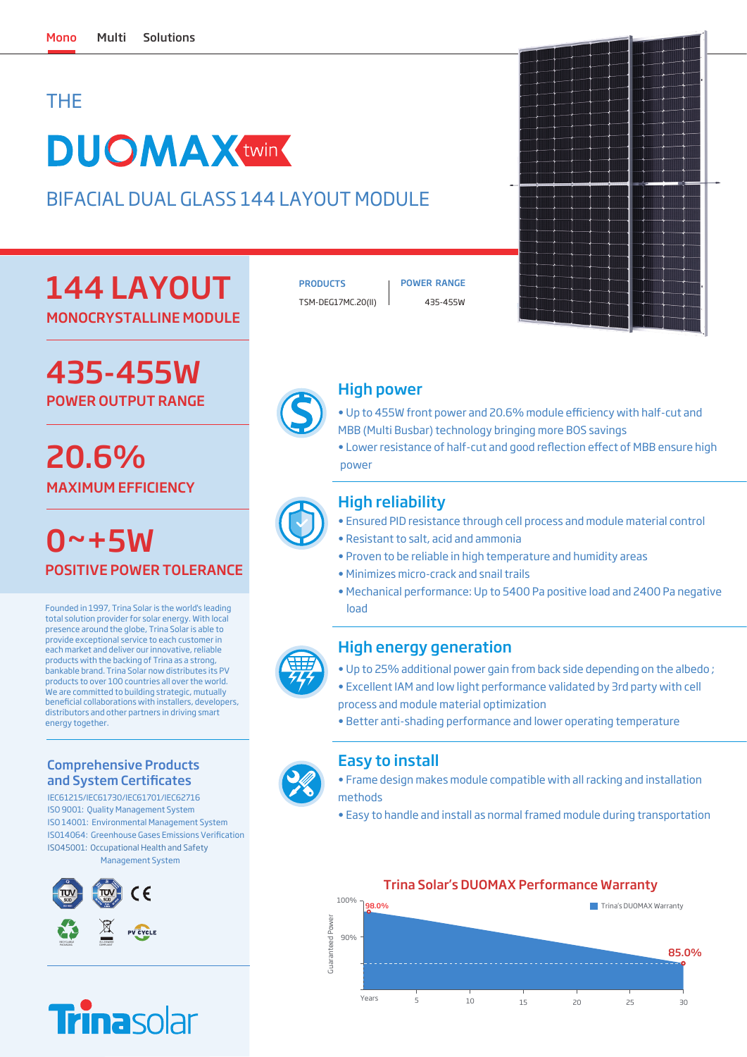## THE

# **DUOMAXtwin**

BIFACIAL DUAL GLASS 144 LAYOUT MODULE

## 144 LAYOUT

MONOCRYSTALLINE MODULE

## POWER OUTPUT RANGE 435-455W

## MAXIMUM EFFICIENCY 20.6%

 $0 - +5W$ POSITIVE POWER TOLERANCE

Founded in 1997, Trina Solar is the world's leading total solution provider for solar energy. With local presence around the globe, Trina Solar is able to provide exceptional service to each customer in each market and deliver our innovative, reliable products with the backing of Trina as a strong, bankable brand. Trina Solar now distributes its PV products to over 100 countries all over the world. We are committed to building strategic, mutually benecial collaborations with installers, developers, distributors and other partners in driving smart energy together.

#### Comprehensive Products and System Certificates

IEC61215/IEC61730/IEC61701/IEC62716 ISO 9001: Quality Management System ISO 14001: Environmental Management System ISO14064: Greenhouse Gases Emissions Verification ISO45001: Occupational Health and Safety Management System





PRODUCTS | POWER RANGE TSM-DEG17MC.20(II) 435-455W



### High power

- Up to 455W front power and 20.6% module efficiency with half-cut and MBB (Multi Busbar) technology bringing more BOS savings
- Lower resistance of half-cut and good reflection effect of MBB ensure high power



### High reliability

- Ensured PID resistance through cell process and module material control
- Resistant to salt, acid and ammonia
- Proven to be reliable in high temperature and humidity areas
- Minimizes micro-crack and snail trails
- Mechanical performance: Up to 5400 Pa positive load and 2400 Pa negative load

#### High energy generation

- Up to 25% additional power gain from back side depending on the albedo ;
- Excellent IAM and low light performance validated by 3rd party with cell process and module material optimization
- Better anti-shading performance and lower operating temperature

### Easy to install

• Frame design makes module compatible with all racking and installation methods

• Easy to handle and install as normal framed module during transportation



#### Trina Solar's DUOMAX Performance Warranty